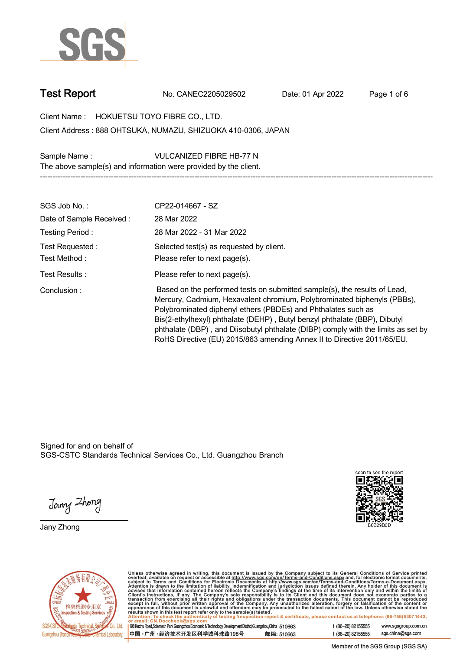

**Test Report. No. CANEC2205029502 . Date: 01 Apr 2022. Page 1 of 6.**

**Client Name : HOKUETSU TOYO FIBRE CO., LTD. . 888 OHTSUKA, NUMAZU, SHIZUOKA 410-0306, JAPAN . Client Address :**

**Sample Name : VULCANIZED FIBRE HB-77 N . The above sample(s) and information were provided by the client.**

| SGS Job No.:                    | CP22-014667 - SZ                                                                                                                                                                                                                                                                                                                                                                                                                                                   |
|---------------------------------|--------------------------------------------------------------------------------------------------------------------------------------------------------------------------------------------------------------------------------------------------------------------------------------------------------------------------------------------------------------------------------------------------------------------------------------------------------------------|
| Date of Sample Received:        | 28 Mar 2022                                                                                                                                                                                                                                                                                                                                                                                                                                                        |
| Testing Period:                 | 28 Mar 2022 - 31 Mar 2022                                                                                                                                                                                                                                                                                                                                                                                                                                          |
| Test Requested:<br>Test Method: | Selected test(s) as requested by client.<br>Please refer to next page(s).                                                                                                                                                                                                                                                                                                                                                                                          |
| Test Results:                   | Please refer to next page(s).                                                                                                                                                                                                                                                                                                                                                                                                                                      |
| Conclusion:                     | Based on the performed tests on submitted sample(s), the results of Lead,<br>Mercury, Cadmium, Hexavalent chromium, Polybrominated biphenyls (PBBs),<br>Polybrominated diphenyl ethers (PBDEs) and Phthalates such as<br>Bis(2-ethylhexyl) phthalate (DEHP), Butyl benzyl phthalate (BBP), Dibutyl<br>phthalate (DBP), and Diisobutyl phthalate (DIBP) comply with the limits as set by<br>RoHS Directive (EU) 2015/863 amending Annex II to Directive 2011/65/EU. |

**-----------------------------------------------------------------------------------------------------------------------------------------------------------**

Signed for and on behalf of SGS-CSTC Standards Technical Services Co., Ltd. Guangzhou Branch.

Jany Zhong

**Jany Zhong.**





Unless otherwise agreed in writing, this document is issued by the Company subject to its General Conditions of Service printed overleaf, available on request or accessible at http://www.sgs.com/en/Terms-and-Conditions.as

198 Kezhu Road, Scientech Park Guangzhou Economic & Technology Development District, Guangzhou, China 510663 中国·广州·经济技术开发区科学城科珠路198号 邮编: 510663 t (86-20) 82155555 www.sgsgroup.com.cn sgs.china@sgs.com t (86-20) 82155555

Member of the SGS Group (SGS SA)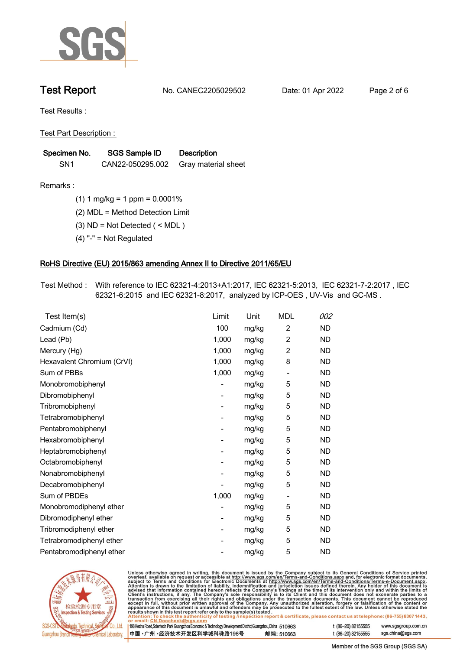

**Test Report. No. CANEC2205029502 . Date: 01 Apr 2022. Page 2 of 6.**

**Test Results :.**

**Test Part Description : .**

| Specimen No.    | <b>SGS Sample ID</b> | <b>Description</b>  |
|-----------------|----------------------|---------------------|
| SN <sub>1</sub> | CAN22-050295.002     | Gray material sheet |

- **Remarks :.(1) 1 mg/kg = 1 ppm = 0.0001% .**
	- **(2) MDL = Method Detection Limit .**
	- **(3) ND = Not Detected ( < MDL ) .**
	- **(4) "-" = Not Regulated .**

## **RoHS Directive (EU) 2015/863 amending Annex II to Directive 2011/65/EU.**

**Test Method :. With reference to IEC 62321-4:2013+A1:2017, IEC 62321-5:2013, IEC 62321-7-2:2017 , IEC 62321-6:2015 and IEC 62321-8:2017, analyzed by ICP-OES , UV-Vis and GC-MS . .**

| Test Item(s)               | Limit                    | <b>Unit</b> | <b>MDL</b>                   | 002       |
|----------------------------|--------------------------|-------------|------------------------------|-----------|
| Cadmium (Cd)               | 100                      | mg/kg       | $\overline{2}$               | ND.       |
| Lead (Pb)                  | 1,000                    | mg/kg       | $\overline{2}$               | <b>ND</b> |
| Mercury (Hg)               | 1,000                    | mg/kg       | $\overline{2}$               | <b>ND</b> |
| Hexavalent Chromium (CrVI) | 1,000                    | mg/kg       | 8                            | <b>ND</b> |
| Sum of PBBs                | 1,000                    | mg/kg       | -                            | <b>ND</b> |
| Monobromobiphenyl          |                          | mg/kg       | 5                            | <b>ND</b> |
| Dibromobiphenyl            | -                        | mg/kg       | 5                            | <b>ND</b> |
| Tribromobiphenyl           | -                        | mg/kg       | 5                            | <b>ND</b> |
| Tetrabromobiphenyl         |                          | mg/kg       | 5                            | <b>ND</b> |
| Pentabromobiphenyl         | $\overline{\phantom{0}}$ | mg/kg       | 5                            | <b>ND</b> |
| Hexabromobiphenyl          |                          | mg/kg       | 5                            | <b>ND</b> |
| Heptabromobiphenyl         |                          | mg/kg       | 5                            | <b>ND</b> |
| Octabromobiphenyl          | -                        | mg/kg       | 5                            | <b>ND</b> |
| Nonabromobiphenyl          |                          | mg/kg       | 5                            | ND.       |
| Decabromobiphenyl          |                          | mg/kg       | 5                            | <b>ND</b> |
| Sum of PBDEs               | 1,000                    | mg/kg       | $\qquad \qquad \blacksquare$ | <b>ND</b> |
| Monobromodiphenyl ether    |                          | mg/kg       | 5                            | <b>ND</b> |
| Dibromodiphenyl ether      |                          | mg/kg       | 5                            | <b>ND</b> |
| Tribromodiphenyl ether     | $\overline{\phantom{0}}$ | mg/kg       | 5                            | <b>ND</b> |
| Tetrabromodiphenyl ether   |                          | mg/kg       | 5                            | <b>ND</b> |
| Pentabromodiphenyl ether   |                          | mg/kg       | 5                            | <b>ND</b> |
|                            |                          |             |                              |           |



Unless otherwise agreed in writing, this document is issued by the Company subject to its General Conditions of Service printed overleaf, available on request or accessible at http://www.sgs.com/en/Terms-and-Conditions.as

| or email: CN.Doccheck@sgs.com                                                                                |            |                    |                     |
|--------------------------------------------------------------------------------------------------------------|------------|--------------------|---------------------|
| 198 Kezhu Road,Scientech Park Guangzhou Economic & Technology Development District,Guangzhou,China   51 O663 |            | $(86-20)82155555$  | www.sgsgroup.com.cn |
| 中国 •广州 •经济技术开发区科学城科珠路198号 »                                                                                  | 邮编: 510663 | t (86–20) 82155555 | sgs.china@sgs.com   |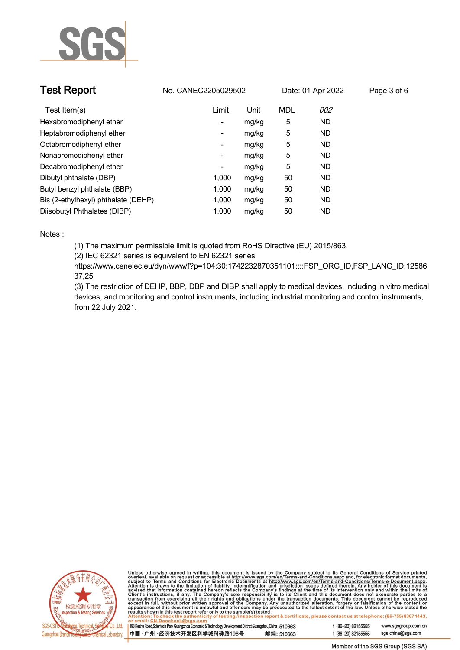

| <b>Test Report</b>                  | No. CANEC2205029502      |       |            | Date: 01 Apr 2022 | Page 3 of 6 |
|-------------------------------------|--------------------------|-------|------------|-------------------|-------------|
| Test Item(s)                        | Limit                    | Unit  | <b>MDL</b> | 002               |             |
| Hexabromodiphenyl ether             | ۰.                       | mg/kg | 5          | <b>ND</b>         |             |
| Heptabromodiphenyl ether            | ٠                        | mg/kg | 5          | <b>ND</b>         |             |
| Octabromodiphenyl ether             | Ξ.                       | mg/kg | 5          | <b>ND</b>         |             |
| Nonabromodiphenyl ether             | Ξ.                       | mg/kg | 5          | <b>ND</b>         |             |
| Decabromodiphenyl ether             | $\overline{\phantom{a}}$ | mg/kg | 5          | <b>ND</b>         |             |
| Dibutyl phthalate (DBP)             | 1.000                    | mg/kg | 50         | <b>ND</b>         |             |
| Butyl benzyl phthalate (BBP)        | 1.000                    | mg/kg | 50         | <b>ND</b>         |             |
| Bis (2-ethylhexyl) phthalate (DEHP) | 1.000                    | mg/kg | 50         | <b>ND</b>         |             |
| Diisobutyl Phthalates (DIBP)        | 1.000                    | mg/kg | 50         | ND                |             |

### **Notes :.**

**(1) The maximum permissible limit is quoted from RoHS Directive (EU) 2015/863.**

**(2) IEC 62321 series is equivalent to EN 62321 series**

**https://www.cenelec.eu/dyn/www/f?p=104:30:1742232870351101::::FSP\_ORG\_ID,FSP\_LANG\_ID:12586 37,25**

**(3) The restriction of DEHP, BBP, DBP and DIBP shall apply to medical devices, including in vitro medical devices, and monitoring and control instruments, including industrial monitoring and control instruments, from 22 July 2021..**



Unless otherwise agreed in writing, this document is issued by the Company subject to its General Conditions of Service printed<br>overleaf, available on request or accessible at http://www.sgs.com/en/Terms-and-Conditions.as

| 198 Kezhu Road, Scientech Park Guangzhou Economic & Technology Development District, Guangzhou, China 510663 |            |
|--------------------------------------------------------------------------------------------------------------|------------|
| 中国・广州 ・经济技术开发区科学城科珠路198号                                                                                     | 邮编: 510663 |

www.sgsgroup.com.cn

t (86-20) 82155555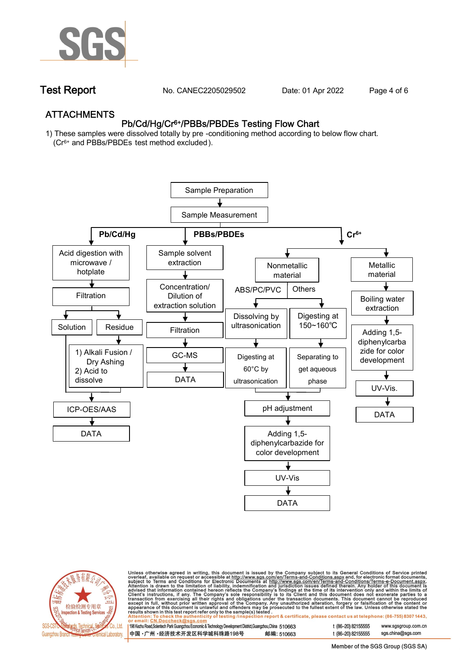

**Test Report. No. CANEC2205029502 . Date: 01 Apr 2022. Page 4 of 6.**

## **ATTACHMENTS Pb/Cd/Hg/Cr6+/PBBs/PBDEs Testing Flow Chart**

**1) These samples were dissolved totally by pre -conditioning method according to below flow chart. (Cr6+ and PBBs/PBDEs test method excluded ).**





Unless otherwise agreed in writing, this document is issued by the Company subject to its General Conditions of Service printed<br>overleaf, available on request or accessible at <u>http://www.sgs.com/en/Terms-and-Conditions.a</u>

| 198 Kezhu Road,Scientech Park Guangzhou Economic & Technology Development District,Guangzhou,China   510663 |            |
|-------------------------------------------------------------------------------------------------------------|------------|
| 中国 •广州 •经济技术开发区科学城科珠路198号 ;                                                                                 | 邮编: 510663 |

t (86-20) 82155555 Member of the SGS Group (SGS SA)

www.sgsgroup.com.cn

sas.china@sas.com

t (86-20) 82155555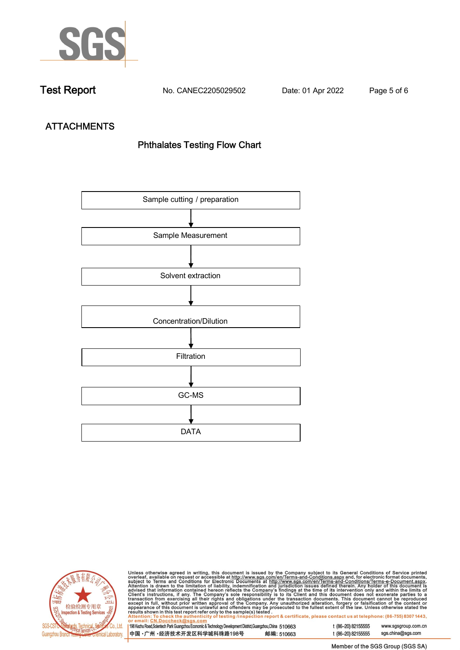

**Test Report. No. CANEC2205029502 . Date: 01 Apr 2022. Page 5 of 6.**

# **ATTACHMENTS Phthalates Testing Flow Chart**





Unless otherwise agreed in writing, this document is issued by the Company subject to its General Conditions of Service printed<br>overleaf, available on request or accessible at http://www.sgs.com/en/Terms-and-Conditions.as

| <u>UI CIIIAII. CN.DUCCIICCRIWSUS.COIII</u>                                                                |            |
|-----------------------------------------------------------------------------------------------------------|------------|
| 198 Kezhu Road,Scientech Park Guangzhou Economic & Technology Development District,Guangzhou,China 510663 |            |
| 中国 •广州 •经济技术开发区科学城科珠路198号                                                                                 | 邮编: 510663 |

t (86-20) 82155555 sgs.china@sgs.com

www.sgsgroup.com.cn

t (86-20) 82155555